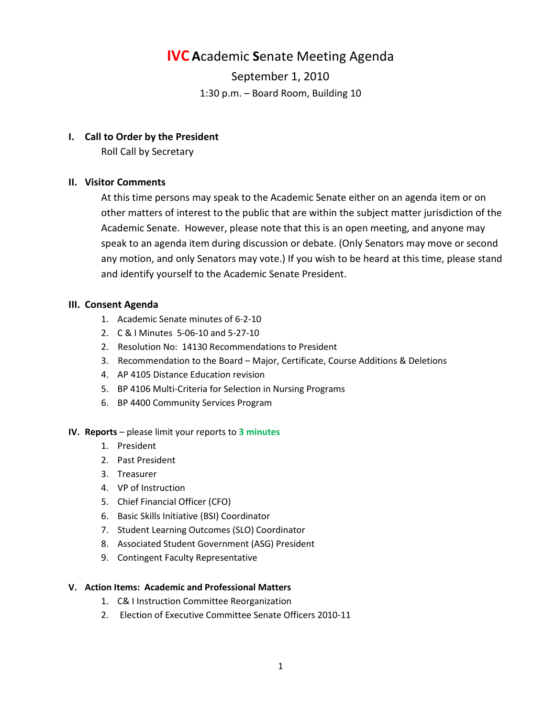# **IVC A**cademic **S**enate Meeting Agenda

September 1, 2010 1:30 p.m. – Board Room, Building 10

### **I. Call to Order by the President**

Roll Call by Secretary

# **II. Visitor Comments**

At this time persons may speak to the Academic Senate either on an agenda item or on other matters of interest to the public that are within the subject matter jurisdiction of the Academic Senate. However, please note that this is an open meeting, and anyone may speak to an agenda item during discussion or debate. (Only Senators may move or second any motion, and only Senators may vote.) If you wish to be heard at this time, please stand and identify yourself to the Academic Senate President.

# **III. Consent Agenda**

- 1. Academic Senate minutes of 6-2-10
- 2. C & I Minutes 5-06-10 and 5-27-10
- 2. Resolution No: 14130 Recommendations to President
- 3. Recommendation to the Board Major, Certificate, Course Additions & Deletions
- 4. AP 4105 Distance Education revision
- 5. BP 4106 Multi-Criteria for Selection in Nursing Programs
- 6. BP 4400 Community Services Program

#### **IV. Reports** – please limit your reports to **3 minutes**

- 1. President
- 2. Past President
- 3. Treasurer
- 4. VP of Instruction
- 5. Chief Financial Officer (CFO)
- 6. Basic Skills Initiative (BSI) Coordinator
- 7. Student Learning Outcomes (SLO) Coordinator
- 8. Associated Student Government (ASG) President
- 9. Contingent Faculty Representative

#### **V. Action Items: Academic and Professional Matters**

- 1. C& I Instruction Committee Reorganization
- 2. Election of Executive Committee Senate Officers 2010-11